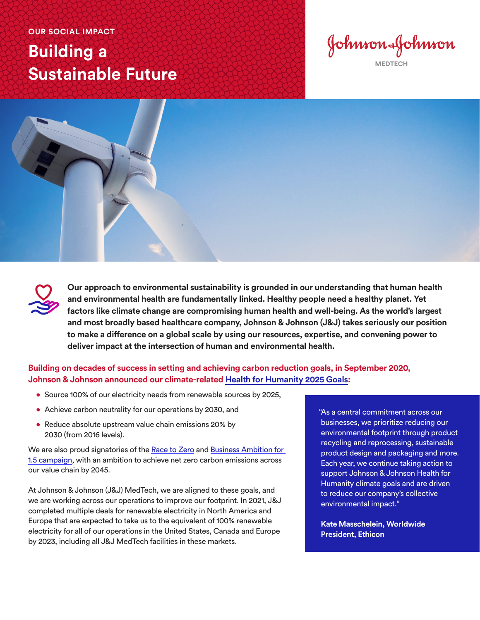**OUR SOCIAL IMPACT** 

## **Building a Sustainable Future**

Johnson-Johnson **MEDTECH**



**Our approach to environmental sustainability is grounded in our understanding that human health and environmental health are fundamentally linked. Healthy people need a healthy planet. Yet factors like climate change are compromising human health and well-being. As the world's largest and most broadly based healthcare company, Johnson & Johnson (J&J) takes seriously our position to make a difference on a global scale by using our resources, expertise, and convening power to deliver impact at the intersection of human and environmental health.** 

**Building on decades of success in setting and achieving carbon reduction goals, in September 2020, Johnson & Johnson announced our climate-related [Health for Humanity 2025 Goals:](https://www.jnj.com/environmental-sustainability/climate-and-energy-action)**

- Source 100% of our electricity needs from renewable sources by 2025,
- Achieve carbon neutrality for our operations by 2030, and
- Reduce absolute upstream value chain emissions 20% by 2030 (from 2016 levels).

We are also proud signatories of the [Race to Zero](https://unfccc.int/climate-action/race-to-zero-campaign) and [Business Ambition for](https://sciencebasedtargets.org/business-ambition-for-1-5c)  [1.5 campaign,](https://sciencebasedtargets.org/business-ambition-for-1-5c) with an ambition to achieve net zero carbon emissions across our value chain by 2045.

At Johnson & Johnson (J&J) MedTech, we are aligned to these goals, and we are working across our operations to improve our footprint. In 2021, J&J completed multiple deals for renewable electricity in North America and Europe that are expected to take us to the equivalent of 100% renewable electricity for all of our operations in the United States, Canada and Europe by 2023, including all J&J MedTech facilities in these markets.

"As a central commitment across our businesses, we prioritize reducing our environmental footprint through product recycling and reprocessing, sustainable product design and packaging and more. Each year, we continue taking action to support Johnson & Johnson Health for Humanity climate goals and are driven to reduce our company's collective environmental impact."

**Kate Masschelein, Worldwide President, Ethicon**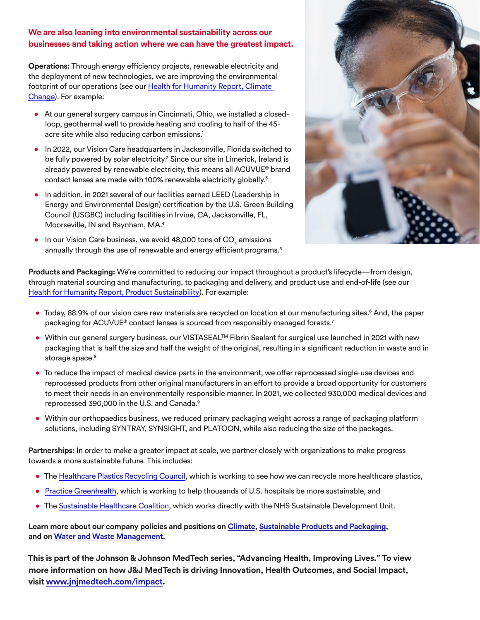## **We are also leaning into environmental sustainability across our businesses and taking action where we can have the greatest impact.**

**Operations:** Through energy efficiency projects, renewable electricity and the deployment of new technologies, we are improving the environmental footprint of our operations (see our [Health for Humanity Report, Climate](https://healthforhumanityreport.jnj.com/environmental-health/climate-change)  [Change\)](https://healthforhumanityreport.jnj.com/environmental-health/climate-change). For example:

- At our general surgery campus in Cincinnati, Ohio, we installed a closedloop, geothermal well to provide heating and cooling to half of the 45 acre site while also reducing carbon emissions.<sup>1</sup>
- In 2022, our Vision Care headquarters in Jacksonville, Florida switched to be fully powered by solar electricity.<sup>2</sup> Since our site in Limerick, Ireland is already powered by renewable electricity, this means all ACUVUE® brand contact lenses are made with 100% renewable electricity globally.<sup>3</sup>
- In addition, in 2021 several of our facilities earned LEED (Leadership in Energy and Environmental Design) certification by the U.S. Green Building Council (USGBC) including facilities in Irvine, CA, Jacksonville, FL, Moorseville, IN and Raynham, MA.4
- $\bullet$  In our Vision Care business, we avoid 48,000 tons of CO $_2$  emissions annually through the use of renewable and energy efficient programs.<sup>5</sup>



**Products and Packaging:** We're committed to reducing our impact throughout a product's lifecycle—from design, through material sourcing and manufacturing, to packaging and delivery, and product use and end-of-life (see our [Health for Humanity Report, Product Sustainability](https://healthforhumanityreport.jnj.com/environmental-health/product-sustainability)). For example:

- Today, 88.9% of our vision care raw materials are recycled on location at our manufacturing sites.<sup>6</sup> And, the paper packaging for ACUVUE® contact lenses is sourced from responsibly managed forests.<sup>7</sup>
- Within our general surgery business, our VISTASEAL™ Fibrin Sealant for surgical use launched in 2021 with new packaging that is half the size and half the weight of the original, resulting in a significant reduction in waste and in storage space.<sup>8</sup>
- To reduce the impact of medical device parts in the environment, we offer reprocessed single-use devices and reprocessed products from other original manufacturers in an effort to provide a broad opportunity for customers to meet their needs in an environmentally responsible manner. In 2021, we collected 930,000 medical devices and reprocessed 390,000 in the U.S. and Canada.9
- Within our orthopaedics business, we reduced primary packaging weight across a range of packaging platform solutions, including SYNTRAY, SYNSIGHT, and PLATOON, while also reducing the size of the packages.

**Partnerships:** In order to make a greater impact at scale, we partner closely with organizations to make progress towards a more sustainable future. This includes:

- The [Healthcare Plastics Recycling Council](https://www.hprc.org/), which is working to see how we can recycle more healthcare plastics,
- [Practice Greenhealth](https://practicegreenhealth.org/), which is working to help thousands of U.S. hospitals be more sustainable, and
- The [Sustainable Healthcare Coalition,](https://shcoalition.org/) which works directly with the NHS Sustainable Development Unit.

**Learn more about our company policies and positions on [Climate,](https://www.jnj.com/about-jnj/policies-and-positions/climate-policy) [Sustainable Products and Packaging](https://www.jnj.com/about-jnj/policies-and-positions/our-position-on-sustainable-products-and-packaging), and on [Water and Waste Management.](https://www.jnj.com/about-jnj/policies-and-positions/our-position-on-water-and-waste-management)**

**This is part of the Johnson & Johnson MedTech series, "Advancing Health, Improving Lives." To view more information on how J&J MedTech is driving Innovation, Health Outcomes, and Social Impact, visit [www.jnjmedtech.com/impact.](www.jnjmedtech.com/impact)**